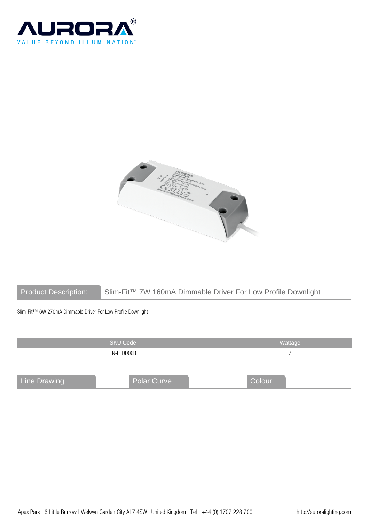



Product Description: Slim-Fit™ 7W 160mA Dimmable Driver For Low Profile Downlight

Slim-Fit™ 6W 270mA Dimmable Driver For Low Profile Downlight

|                     | <b>SKU Code</b>    | Wattage |
|---------------------|--------------------|---------|
|                     | EN-PLDD06B         |         |
|                     |                    |         |
| <b>Line Drawing</b> | <b>Polar Curve</b> | Colour  |